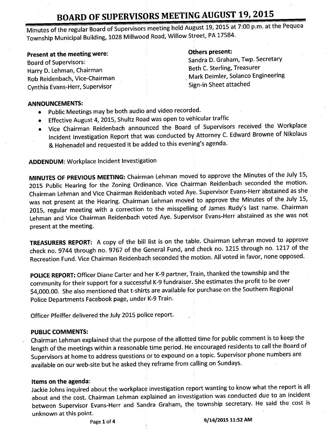Minutes of the regular Board of Supervisors meeting held August 19, 2015 at 7:00 p.m. at the Pequea Township Municipal Building, 1028 Millwood Road, Willow Street, PA 17584.

Present at the meeting were: The meeting were all the meeting were all the metal others present: Rob Reidenbach, Vice-Chairman Mark Deimler, Solanco Engineering Rob Reidenbach, Vice-Chairman Mark Deimler, Solanco Engineering Solanco Engineering Solanco Engineering Solanco Engineering Solanco Engineering Solanco Engine Cynthia Evans-Herr, Supervisor

Board of Supervisors: Sandra D. Graham, Twp. Secretary<br>
Beth C. Sterling, Treasurer<br>
Beth C. Sterling, Treasurer Harry D. Lehman, Chairman<br>Rephasis of the Chairman Beth C. Sterling, Treasurer<br>Mark Deimler, Solanco Engineering

#### ANNOUNCEMENTS:

- Public Meetings may be both audio and video recorded.
- Effective August 4, 2015, Shultz Road was open to vehicular traffic
- Vice Chairman Reidenbach announced the Board of Supervisors received the Workplace Incident Investigation Report that was conducted by Attorney C. Edward Browne of Nikolaus & Hohenadel and requested it be added to this evening's agenda.

ADDENDUM: Workplace Incident Investigation

MINUTES OF PREVIOUS MEETING: Chairman Lehman moved to approve the Minutes of the July 15, 2015 Public Hearing for the Zoning Ordinance. Vice Chairman Reidenbach seconded the motion. Chairman Lehman and Vice Chairman Reidenbach voted Aye. Supervisor Evans-Herr abstained as she was not present at the Hearing. Chairman Lehman moved to approve the Minutes of the July 15, 2015, regular meeting with a correction to the misspelling of James Rudy's last name. Chairman Lehman and Vice Chairman Reidenbach voted Aye. Supervisor Evans- Herr abstained as she was not present at the meeting.

TREASURERS REPORT: A copy of the bill list is on the table. Chairman Lehman moved to approve check no. 9744 through no. 9767 of the General Fund, and check no. 1215 through no. 1217 of the Recreation Fund. Vice Chairman Reidenbach seconded the motion. All voted in favor, none opposed.

POLICE REPORT: Officer Diane Carter and her K-9 partner, Train, thanked the township and the community for their support for a successful K-9 fundraiser. She estimates the profit to be over 4,000.00. She also mentioned that t-shirts are available for purchase on the Southern Regional Police Departments Facebook page, under K-9 Train.

Officer Pfeiffer delivered the July 2015 police report.

### PUBLIC COMMENTS:

Chairman Lehman explained that the purpose of the allotted time for public comment is to keep the length of the meetings within <sup>a</sup> reasonable time period. He encouraged residents to call the Board of Supervisors at home to address questions or to expound on <sup>a</sup> topic. Supervisor phone numbers are available on our web-site but he asked they reframe from calling on Sundays.

### Items on the agenda:

Jackie Johns inquired about the workplace investigation report wanting to know what the report is all about and the cost. Chairman Lehman explained an investigation was conducted due to an incident between Supervisor Evans-Herr and Sandra Graham, the township secretary. He said the cost is unknown at this point.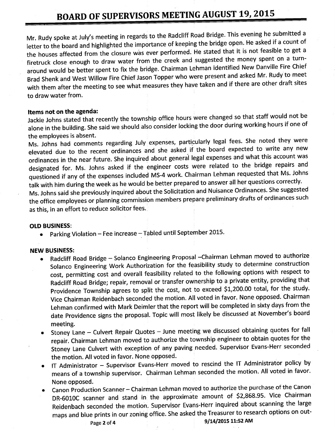Mr. Rudy spoke at July's meeting in regards to the Radcliff Road Bridge. This evening he submitted a letter to the board and highlighted the importance of keeping the bridge open. He asked if <sup>a</sup> count of the houses affected from the closure was ever performed. He stated that it is not feasible to get a firetruck close enough to draw water from the creek and suggested the money spent on <sup>a</sup> turnaround would be better spent to fix the bridge. Chairman Lehman identified New Danville Fire Chief Brad Shenk and West Willow Fire Chief Jason Topper who were present and asked Mr. Rudy to meet with them after the meeting to see what measures they have taken and if there are other draft sites to draw water from.

#### Items not on the agenda:

Jackie Johns stated that recently the township office hours were changed so that staff would not be alone in the building. She said we should also consider locking the door during working hours if one of the employees is absent.

Ms. Johns had comments regarding July expenses, particularly legal fees. She noted they were elevated due to the recent ordinances and she asked if the board expected to write any new ordinances in the near future. She inquired about general legal expenses and what this account was designated for. Ms. Johns asked if the engineer costs were related to the bridge repairs and questioned if any of the expenses included MS-4 work. Chairman Lehman requested that Ms. Johns talk with him during the week as he would be better prepared to answer all her questions correctly.

Ms. Johns said she previously inquired about the Solicitation and Nuisance Ordinances. She suggested the office employees or planning commission members prepare preliminary drafts of ordinances such as this, in an effort to reduce solicitor fees.

#### OLD BUSINESS:

Parking Violation— Fee increase— Tabled until September 2015.

#### NEW BUSINESS:

- Radcliff Road Bridge Solanco Engineering Proposal —Chairman Lehman moved to authorize Solanco Engineering Work Authorization for the feasibility study to determine construction cost, permitting cost and overall feasibility related to the following options with respect to Radcliff Road Bridge; repair, removal or transfer ownership to <sup>a</sup> private entity, providing that Providence Township agrees to split the cost, not to exceed \$1,200.00 total, for the study. Vice Chairman Reidenbach seconded the motion. All voted in favor. None opposed. Chairman Lehman confirmed with Mark Deimler that the report will be completed in sixty days from the date Providence signs the proposal. Topic will most likely be discussed at November's board meeting.
- Stoney Lane Culvert Repair Quotes June meeting we discussed obtaining quotes for fall repair. Chairman Lehman moved to authorize the township engineer to obtain quotes for the Stoney Lane Culvert with exception of any paving needed. Supervisor Evans-Herr seconded the motion. All voted in favor. None opposed.
- IT Administrator Supervisor Evans- Herr moved to rescind the IT Administrator policy by means of <sup>a</sup> township supervisor. Chairman Lehman seconded the motion. All voted in favor. None opposed.
- Canon Production Scanner— Chairman Lehman moved to authorize the purchase of the Canon DR-6010C scanner and stand in the approximate amount of \$2,868.95. Vice Chairman Reidenbach seconded the motion. Supervisor Evans- Herr inquired about scanning the large maps and blue prints in our zoning office. She asked the Treasurer to research options on out-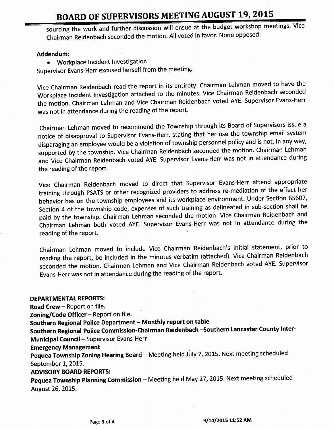sourcing the work and further discussion will ensue at the budget workshop meetings. Vice Chairman Reidenbach seconded the motion. All voted in favor. None opposed.

#### Addendum:

Workplace Incident Investigation

Supervisor Evans-Herr excused herself from the meeting.

Vice Chairman Reidenbach read the report in its entirety. Chairman Lehman moved to have the Workplace Incident Investigation attached to the minutes. Vice Chairman Reidenbach seconded the motion. Chairman Lehman and Vice Chairman Reidenbach voted AYE. Supervisor Evans-Herr was not in attendance during the reading of the report.

Chairman Lehman moved to recommend the Township through its Board of Supervisors issue <sup>a</sup> notice of disapproval to Supervisor Evans-Herr, stating that her use the township email system disparaging an employee would be <sup>a</sup> violation of township personnel policy and is not, in any way, supported by the township. Vice Chairman Reidenbach seconded the motion. Chairman Lehman and Vice Chairman Reidenbach voted AYE. Supervisor Evans- Herr was not in attendance during the reading of the report.

Vice Chairman Reidenbach moved to direct that Supervisor Evans-Herr attend appropriate training through PSATS or other recognized providers to address re- mediation of the effect her behavior has on the township employees and its workplace environment. Under Section 65607, Section 4 of the township code, expenses of such training as delineated in sub-section shall be paid by the township. Chairman Lehman seconded the motion. Vice Chairman Reidenbach and Chairman Lehman both voted AYE. Supervisor Evans- Herr was not in attendance during the reading of the report.

Chairman Lehman moved to include Vice Chairman Reidenbach's initial statement, prior to reading the report, be included in the minutes verbatim (attached). Vice Chairman Reidenbach seconded the motion. Chairman Lehman and Vice Chairman Reidenbach voted AYE. Supervisor Evans- Herr was not in attendance during the reading of the report.

#### DEPARTMENTAL REPORTS:

Road Crew— Report on file.

Zoning/ Code Officer  $-$  Report on file.

Southern Regional Police Department—Monthly report on table

Southern Regional Police Commission-Chairman Reidenbach—Southern Lancaster County Inter-Municipal Council - Supervisor Evans-Herr

Emergency Management

Pequea Township Zoning Hearing Board - Meeting held July 7, 2015. Next meeting scheduled September 1, 2015.

ADVISORY BOARD REPORTS:

Pequea Township Planning Commission - Meeting held May 27, 2015. Next meeting scheduled August 26, 2015.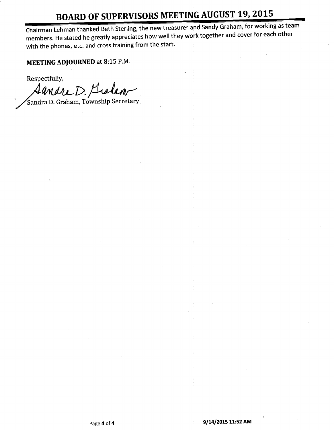Chairman Lehman thanked Beth Sterling, the new treasurer and Sandy Graham, for working as team members. He stated he greatly appreciates how well they work together and cover for each other with the phones, etc. and cross training from the start.

MEETING ADJOURNED at 8:15 P.M.

Respectfully,

Aandre D. Graham

Sandra D. Graham, Township Secretary.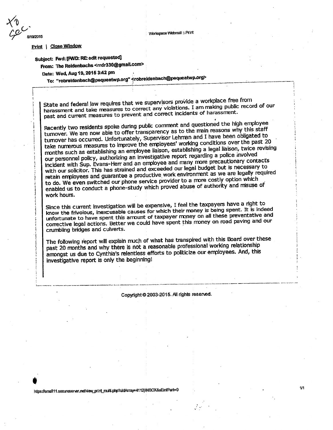VVorkspaoe Webmail::. Print

#### Print | Close Window

8/19/2015

### Subject: Fwd: [FWD: RE: edit requested]

From: The Reidenbachs <rrdr330@gmail.com>

Date: Wed, Aug 19, 2015 3:42 pm

To: " robreidenbach@pequeatwp.org" erobreidenbach@pequeatwp.org>

State and federal law requires that we supervisors provide a workplace free from harassment and take measures to correct any violations. I am raking public record of our past and current measures to prevent and correct incidents of harassment.<br>Recently two residents spoke during public comment and questioned the high employee

turnover. We are now able to offer transparency as to the main reasons why this staff turnover has occurred. Unfortunately, Supervisor Lehman and I have been obligated to take numerous measures to improve the employees' working conditions over the past 20 months such as establishing an employee liaison, establishing a legal liaison, twice revising incident with Sup. Evans-Herr and an employee and many more precautionary contacts with our solicitor. This has strained and exceeded our legal budget but is necessary to retain employees and guarantee a productive work environment as we are legally required to do. We even switched our phone service provider to a more costly option which enabled us to conduct a phone-study which proved abuse of authority and misuse of work hours.

Since this current investigation will be expensive, I feel the taxpayers have a right to know the frivolous, inexcusable causes for which their money is being spent. It is indeed unfortunate to have spent this amount of taxpayer money on all these preventative and corrective legal actions. Better we could have spent this money on road paving and our crumbling bridges and culverts.

The following report will explain much of what has transpired with this Board over these past 20 months and why there is not a reasonable professional working relationship amongst us due to Cynthia's relentless efforts to politicize our employees. And, this investigative report is only the beginning!

Copyright 2003-2015. All rights reserved.

https://email11.secureserver.net/view\_print\_multi.php?uidArray=4112|INBOX&aEmiPart=0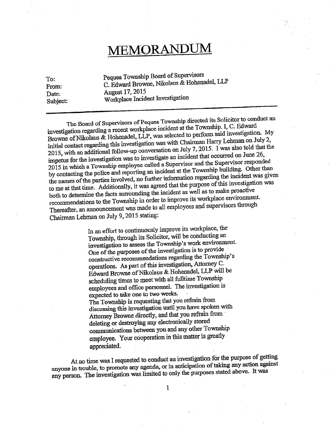# MEMORANDUM

To: Pequea Township Board of Supervisors From: C. Edward Browne, Nikolaus & Hohenadel, LLP Date: August 17, 2015 Subject: Workplace Incident Investigation

The Board of Supervisors of Pequea Township directed its Solicitor to conduct an investigation regarding <sup>a</sup> recent workplace incident at the Township. I, C. Edward Browne of Nikolaus & Hohenadel, LLP, was selected to perform said investigation. My initial contact regarding this investigation was with Chairman Harry Lehman on July 2, 2015, with an additional follow-up conversation on July 7, 2015. I was also told that the impetus for the investigation was to investigate an incident that occurred on June 26, 2015 in which a Township employee called a Supervisor and the Supervisor responded by contacting the police and reporting an incident a 2015 in which a Township employee called a Supervisor and the Supervisor responded by contacting the police and reporting an include at the Township be incident was give the names of the parties involved, no further information regarding the investigation was to me at that time. Additionally, it was agreed that the purpose of this investigation was both to determine the facts surrounding the incident as well as to make proactive recommendations to the Township in order to improve its workplace environment. Thereafter, an announcement was made to all employees and supervisors through Chairman Lehman on July 9, 2015 stating:

> In an effort to continuously improve its workplace, the Township, through its Solicitor, will be conducting an investigation to assess the Township's work environment. One of the purposes of the investigation is to provide constructive recommendations regarding the Township' s operations. As part of this investigation, Attorney C. Edward Browne of Nikolaus & Hohenadel, LLP will be scheduling times to meet with all fulltime Township employees and office personnel. The investigation is expected to take one to two weeks. The Township is requesting that you refrain from discussing this investigation until you have spoken with Attorney Browne directly, and that you refrain from deleting or destroying any electronically stored communications between you and any other Township employee. Your cooperation in this matter is greatly appreciated.

At no time was I requested to conduct an investigation for the purpose of getting anyone in trouble, to promote any agenda, or in anticipation of taking any action against any person. The investigation was limited to only the purposes stated above. It was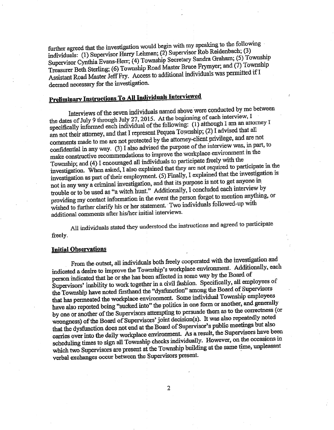further agreed that the investigation would begin with my speaking to the following individuals: (1) Supervisor Harry Lehman; (2) Supervisor Rob Reidenbach; (3) Supervisor Cynthia Evans-Herr; (4) Township Secretary Sandra Graham;( 5) Township Treasurer Beth Sterling; (6) Township Road Master Bruce Frymyer; and( 7) Township Assistant Road Master Jeff Fry. Access to additional individuals was permitted if I deemed necessary for the investigation.

### Preliminary Instructions To All Individuals Interviewed

Interviews of the seven individuals named above were conducted by me between the dates of July 9 through July 27, 2015. At the beginning of each interview, I specifically informed each individual of the following:  $(1)$  although 1 am an attorney I am not their attorney, and that I represent Pequea Township;( 2) I advised that all comments made to me are not protected by the attorney- client privilege, and are not confidential in any way. ( 3) I also advised the purpose of the interview was, in part, to make constructive recommendations to improve the workplace environment in the Township; and (4) I encouraged all individuals to participate freely with the investigation. When asked, I also explained that they are not required to participate in the investigation as part of their employment. (5) Finally, I explained that the investigation is not in any way a criminal investigation, and that its purpose is not to get anyone in not in any way a criminal investigation, and that its purpose is not to get the view by trouble or to be used as "a witch hunt." Additionally, I concluded each interview by providing my contact information in the event the person forgot to mention anything, or wished to further clarify his or her statement. Two individuals followed-up with additional comments after his/her initial interviews.

All individuals stated they understood the instructions and agreed to participate freely.

#### Initial Observations,

From the outset, all individuals both freely cooperated with the investigation and indicated a desire to improve the Township's workplace environment. Additionally, each person indicated that he or she has been affected in some way by the Board of Supervisors' inability to work together in a civil fashion. Specifically, all employees of the Township have noted firsthand the "dysfunction" among the Board of Supervisors that has permeated the workplace environment. Some individual Township employees have also reported being "sucked into" the politics in one form or another, and generally by one or another of the Supervisors attempting to persuade them as to the correctness (or wrongness) of the Board of Supervisors' joint decision(s). It was also repeatedly noted that the dysfunction does not end at the Board of Supervisor's public meetings but also carries over into the daily workplace environment. As a result, the Supervisors have been scheduling times to sign all Township checks individually. However, on the occasions in which two Supervisors are present at the Township building at the same time, unpleasant verbal exchanges occur between the Supervisors present.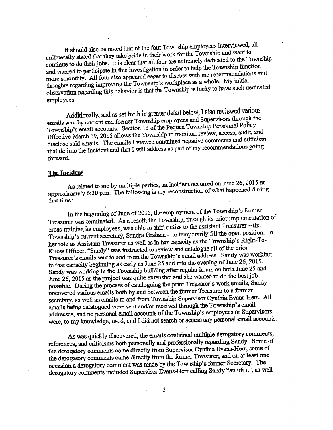It should also be noted that of the four Township employees interviewed, all unilaterally stated that they take pride in their work for the Township and want to unilaterally stated that they take pride in their work for the Communicated to the To continue to do their jobs. It is clear that all four are extremely dedicated to the Township and wanted to participate in this investigation in order to help the Township function more smoothly. All four also appeared eager to discuss with me recommendations and thoughts regarding improving the Township's workplace as a whole. My initial observation regarding this behavior is that the Township is lucky to have such dedicated employees.

Additionally, and as set forth in greater detail below, I also reviewed various emails sent by current and former Township employees and Supervisors through the Township's email accounts. Section 13 of the Pequea Township Personnel Policy Effective March 19, 2015 allows the Township to monitor, review, access, audit, and disclose said emails. The emails I viewed contained negative comments and criticism that tie into the Incident and that I will address as part of my recommendations going forward.

#### The Incident

As related to me by multiple parties, an incident occurred on June 26, 2015 at approximately 6:30 p.m. The following is my reconstruction of what happened during that time:

In the beginning of June of 2015, the employment of the Township's former Treasurer was terminated. As a result, the Township, through its prior implementation of cross-training its employees, was able to shift duties to the assistant Treasurer - the Township's current secretary, Sandra Graham -- to temporarily fill the open position. In her role as Assistant Treasurer as well as in her capacity as the Township's Right-To-Know Officer, "Sandy" was instructed to review and catalogue all of the prior Treasurer's emails sent to and from the Township's email address. Sandy was working in that capacity beginning as early as June 25 and into the evening of June 26, 2015. Sandy was working in the Township building after regular hours on both June 25 and June 26, 2015 as the project was quite extensive and she wanted to do the best job possible. During the process of cataloguing the prior Treasurer's work emails, Sandy uncovered various emails both by and between the former Treasurer to a former secretary, as well as emails to and from Township Supervisor Cynthia Evans-Herr. All expected various emails both by and between the former Treasurer to a former<br>secretary, as well as emails to and from Township Supervisor Cynthia Evans-Herr. All<br>emails being catalogued were sent and/or received through th emails being catalogued were sent and/or received through the Township's email addresses, and no personal email accounts of the Township's employees or Supervisors were, to my knowledge, used, and I did not search or acces

As was quickly discovered, the emails contained multiple derogatory comments, references, and criticisms both personally and professionally regarding Sandy. Some of the derogatory comments came directly from Supervisor Cynthia Evans-Herr, some of the derogatory comments came directly from the former Treasurer, and on at least one occasion a derogatory comment was made by the Township's former Secretary. The derogatory comments included Supervisor Evans-Herr calling Sandy "an idiot", as well

 $\overline{3}$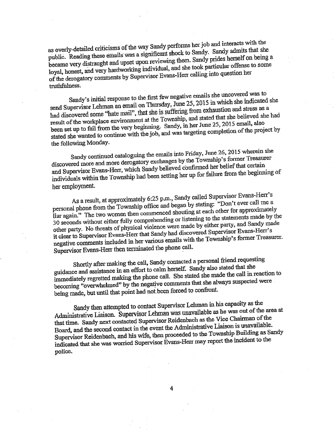as overly-detailed criticisms of the way Sandy performs her job and interacts with the public. Reading these emails was a significant shock to Sandy. Sandy admits that she public. Reading these emails was a significant stream Sandy prides herself on being a became very distraught and upon the main right and she took particular offense to some loyal, honest, and very hardworking individual, and she took particular offense to some of the derogatory comments by Supervisor Evans-Herr calling into question her truthfulness.

Sandy's initial response to the first few negative emails she uncovered was to send Supervisor Lehman an email on Thursday, June 25, 2015 in which she indicated she had discovered some "hate mail", that she is suffering from exhaustion and stress as a result of the workplace environment at the Township, and stated that she believed she been set up to fail from the very beginning. Sand result of the workplace environment at the Township, and stated that she believed she had been set up to fail from the very beginning. Sandy, in the completion of the proje stated she wanted to continue with the  $j_{00}$ , and was targeting completion of the project by the project by  $j_{00}$ 

the following Monday.<br>Sandy continued cataloguing the emails into Friday, June 26, 2015 wherein she Sandy continued cataloguing the emails the Friday,<br>discovered more and more derogatory exchanges by the Township's former Treasurer and Supervisor Evans-Herr, which Sandy believed confirmed her belief that certain individuals within the Township had been setting her up for failure from the beginning of her employment.

As a result, at approximately 6:25 p.m., Sandy called Supervisor Evans-Herr's personal phone from the Township office and began by stating: " Don't ever call me <sup>a</sup> liar again." The two women then commenced shouting at each other for approximately 30 seconds without either fully comprehending or listening to the statements made by the other party. No threats of physical violence were 30 seconds without either fully comprehending or listening to the statements made by the it clear to Supervisor Evans-Herr that Sandy had discovered Supervisor Evans-Herr's negative comments included in her various emails with the Township's former Treasurer. Supervisor Evans-Herr then terminated the phone call.

Shortly after making the can, Sandy conducted a power of the she<br>guidance and assistance in an effort to calm herself. Sandy also stated that she Shortly after making the call, Sandy contacted a personal friend requesting immediately regretted making the phone call. She stated she made the call in reaction to becoming "overwhelmed" by the negative comments that she always suspected were being made, but until that point had not.been forced to confront.

Sandy then attempted to contact Supervisor Lehman in the separation of the Administrative Liaison. Supervisor Lehman was unavailable as he was out of the area at that time. Sandy next contacted Supervisor Reidenbach as the Vice Chairman of the Board, and the second contact in the event the Administrative Liaison is unavailable. Supervisor Reidenbach, and his wife, then proceeded to the Township Building as Sandy indicated that she was worried Supervisor Evans-Herr may report the incident to the police.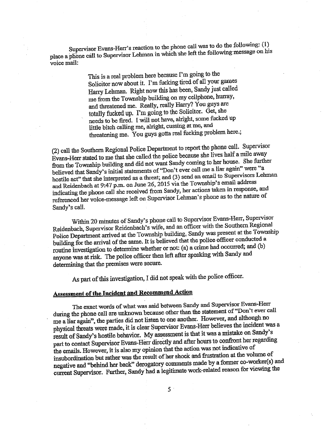Supervisor Evans-Herr's reaction to the phone call was to do the following: (1) place a phone call to Supervisor Lehman in which she left the following message on his voice mail:

> This is a real problem here because I'm going to the Solicitor now about it. I'm fucking tired of all your games Harry Lehman. Right now this has been, Sandy just called me from the Township building on my cellphone, hurray, and threatened me. Really, really Harry? You guys are totally fucked up. I'm going to the Solicitor. Get, she needs to be fired. I will not have, alright, some flicked up little bitch calling me, alright, cussing at me, and threatening me. You guys gotta real fucking problem here.;

2) call the Southern Regional Police Department to report the phone call. Supervisor Evans-Herr stated to me that she called the police because she lives half a mile away from the Township building and did not want Sandy coming to her house. She further believed that Sandy's initial statements of "Don't ever call me a liar again" were "a hostile act" that she interpreted as a threat; and (3) send an email to Supervisors Lehman and Reidenbach at 9:47 p.m. on June 26, 2015 via the Township's email address indicating the phone call she received from Sandy, her actions taken in response, and indicating the phone call she received from Sandy, her actions taken in response, and referenced her voice-message left on Supervisor Lehman' <sup>s</sup> phone as to the nature of Sandy's call.

Within 20 minutes of Sandy' <sup>s</sup> phone call to Supervisor Evans-Herr, Supervisor Reidenbach, Supervisor Reidenbach' <sup>s</sup> wife, and an officer with the Southern Regional Police Department arrived at the Township building, Sandy was present at the Township building for the arrival of the same. It is believed that the police officer conducted <sup>a</sup> routine investigation to determine whether or not: (a) a crime had occurred; and( b) anyone was at risk. The police officer then left after speaking with Sandy and determining that the premises were secure.

As part of this investigation, I did not speak with the police officer.

### Assessment of the Incident and Recommend Action

The exact words of what was said between Sandy and Supervisor Evans-Herr during the phone call are unknown because other than the statement of "Don't ever call me a liar again", the parties did not listen to one another. However, and although no physical threats were made, it is clear Supervisor Evans-Herr believes the incident was a result of Sandy's hostile behavior. My assessment is that it was a mistake on Sandy's part to contact Supervisor Evans-Herr directly and after hours to confront her regarding the mails. However, it is also my opinion that the action was not indicative of insubordination but rather was the result of her shock and frustration at the volume of negative and" behind her back" derogatory comments made by a former co-worker(s) and current Supervisor. Further, Sandy had a legitimate work-related reason for viewing the

 $5<sup>1</sup>$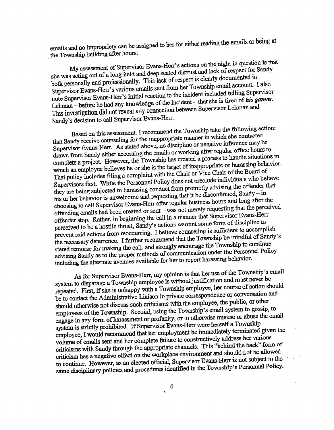emails and no impropriety can be assigned to her for either reading the emails or being at the Township building after hours.

My assessment of Supervisor Evans-Herr's actions on the night in question is that she was acting out of a long-held and deep seated distrust and lack of respect for Sandy both personally and professionally. This lack of re she was acting out of a long-held and deep seated distrust and lack ofrespect for Sandy both personally and professionally. This lack of respect  $\epsilon$  cometing email account. I Supervisor Evans-Herr's various emails sent from her Township email account. I also note Supervisor Evans-Herr's initial reaction to the incident included telling Supervisor Lehman – before he had any knowledge of the incident – that she is tired of his games. This investigation did not reveal any connection between Supervisor Lehman and Sandy's decision to call Supervisor Evans-Herr.

Based on this assessment, I recommend the Township take the following action:<br>that Sandy receive counseling for the inappropriate manner in which she contacted Supervisor Evans-Herr. As stated above, no discipline or negative inference may be drawn from Sandy either accessing the emails or working after regular office hours to complete a project. However, the Township has created a process to handle situations in complete a project. However, the Township has created a process to handle situations behavior. which an employee believes he or she is the target of mappropriate or the Board of That policy includes filing a complaint with the Chair or Vice Chair of the Board of Supervisors first. While the Personnel Policy does not preclude individuals who believe they are being subjected to harassing conduct from promptly advising the offender that his or her behavior is unwelcome and requesting that it be discontinued, Sandy – in choosing to call Supervisor Evans-Herr after regula his or her behavior is unwelcome and requesting that it be discontinued, Sandy— in choosing to call Supervisor Evans-Herr after regular business.<br>offending emails had been created or sent—was not merely requesting that the perceived offender stop. Rather, in beginning the call in a manner that Supervisor Evans-Herr perceived to be <sup>a</sup> hostile threat, Sandy' <sup>s</sup> actions warrant some form of discipline to prevent said actions from reoccurring. I believe counseling is sufficient to accomplish the necessary deterrence. I further recommend that the Township be mindful of Sandy' <sup>s</sup> stated remorse for making the call, and strongly encourage the Township to continue advising Sandy as to the proper methods of communication under the Personnel Policy including the alternate avenues available for her to report harassing behavior.

As for Supervisor Evans-Herr, my opinion is that her use of the Township's email system to disparage a Township employee is without justification and must never be repeated. First, if she is unhappy with <sup>a</sup> Township employee, her course of action should be to contact the Administrative Liaison in private correspondence or conversation and should otherwise not discuss such criticisms with the employee, the public, or other employees of the Township. Second, using the Township's email system to gossip, to engage in any form of harassment or profanity, or to otherwise misuse or abuse the email system is strictly prohibited. If Supervisor Evans-Herr were herself a Township employee, I would recommend that her employment be immediately terminated given the • volume of emails sent and her complete failure to constructively address her various criticisms with Sandy through the appropriate channels. This" behind the back" form of criticism has a negative effect on the workplace environment and should Lot be allowed to continue. However, as an elected official, Supervisor Evans-Herr is not subject to the same disciplinary policies and procedures identified in the Township's Personnel Policy.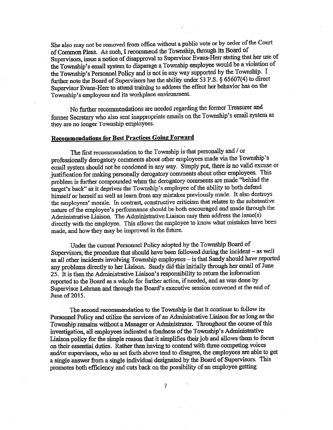She also may not be removed from office without a public vote or by order of the Court of Common Pleas. As such, I recommend.the.Township,.through its Board of Supervisors, issue a notice of disapproval to Supervisor Evans-Herr stating that her use of the Township's email system to disparage a Township employee would be a violation of the Township's Personnel Policy and is not in any way supported by the Township. I further note the Board of Supervisors has the ability under  $53$  P.S. § 65607(4) to direct Supervisor Evans-Herr to attend training to address the effect her behavior has on the Township's employees and its workplace environment.

No father recommendations are needed regarding the former Treasurer and former Secretary who also sent inappropriate emails on the Township's email system as they are no longer Township employees.

### Recommendations for Best Practices Going Forward

The first recommendation to the Township is that personally and/ or professionally derogatory comments about other employees made via the Township's email system should not be condoned in any way. Simply put, there is no valid excuse or justification for making personally derogatory comments about other employees. This problem is farther compounded when the derogatory comments are made" behind the target's back" as it deprives the Township's employee of the ability to both defend himself or herself as well as learn from any mistakes previously made. It also destroys the employees' morale. In contrast, constructive criticism that relates to the substantive nature of the employee's performance should be both encouraged and made through the Administrative Liaison. The Administrative Liaison may then address the issue(S) directly with the employee. This allows the employee to know what mistakes have been made, and how they may be improved in the future.

Under the current Personnel Policy adopted by the Township Board of Supervisors, the procedure that should have been followed during the incident—as well as all other incidents involving Township employees— is that Sandy should have reported any problems directly to her Liaison. Sandy did this initially through her email of June 25. It is then the Administrative Liaison' <sup>s</sup> responsibility to return the information reported to the Board as a whole for further action, if needed, and as was done by Supervisor Lehman and through the Board' <sup>s</sup> executive session convened at the end of June of 2015.

The second recommendation to the Township is that it continue to follow its Personnel Policy and utilize the services of an Administrative Liaison for as long as the Township remains without a Manager or Administrator. Throughout the course of this investigation, all employees indicated a fondness of the Township's Administrative Liaison policy for the simple reason that it simplifies their job and allows them to focus on their essential.duties. Rather than having to contend with three competing voices and/or supervisors, who as set forth above tend to disagree, the employees are able to get a single answer from a single individual designated by the Board of Supervisors. This promotes both efficiency and cuts back on the possibility of an employee getting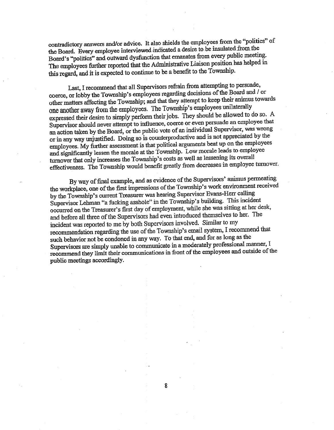contradictory answers and/or advice. It also shields the employees from the "politics" of the Board. Every employee interviewed indicated a desire to be insulated from the Board's "politics" and outward dysfunction that emanates from every public meeting. The employees further reported that the Administrative Liaison position has helped in this regard, and it is expected to continue to be a benefit to the Township.

Last, I recommend that all Supervisors refrain from attempting to persuade, coerce, or lobby the Township's employees regarding decisions of the Board and / or other matters affecting the Township; and that they attempt to keep their animus towards one another away from the employees. The Township's employees unilaterally expressed their desire to simply perform their jobs. They should be allowed to do so. A Supervisor should never attempt to influence, coerce or even persuade an employee that an action taken by the Board, or the public vote of an individual Supervisor, was wrong or in any way unjustified. Doing so is counterproductive and is not appreciated by the employees. My further assessment is that political arguments beat up on the employees and significantly lessen the morale at the Township. Low morale leads to employee turnover that only increases the Township's costs as well as lessening its overall effectiveness. The Township would benefit greatly from decreases in employee turnover.

By way of final example, and as evidence of the Supervisors' animus permeating the workplace, one of the first impressions of the Township's work environment received by the Township's current Treasurer was hearing Supervisor Evans-Herr calling Supervisor Lehman "a fucking asshole" in the Township's building. This incident occurred on the Treasurer's first day of employment, while she was sitting at her desk, and before all three of the Supervisors had even introduced themselves to her. The incident was reported to me by both Supervisors involved. Similar to my recommendation regarding the use of the Township's email system, I recommend that such behavior not be condoned in any way. To that end, and for as long as the Supervisors are simply unable to communicate in a moderately professional manner, I recommend they limit their communications in front of the employees and outside of the public meetings accordingly.